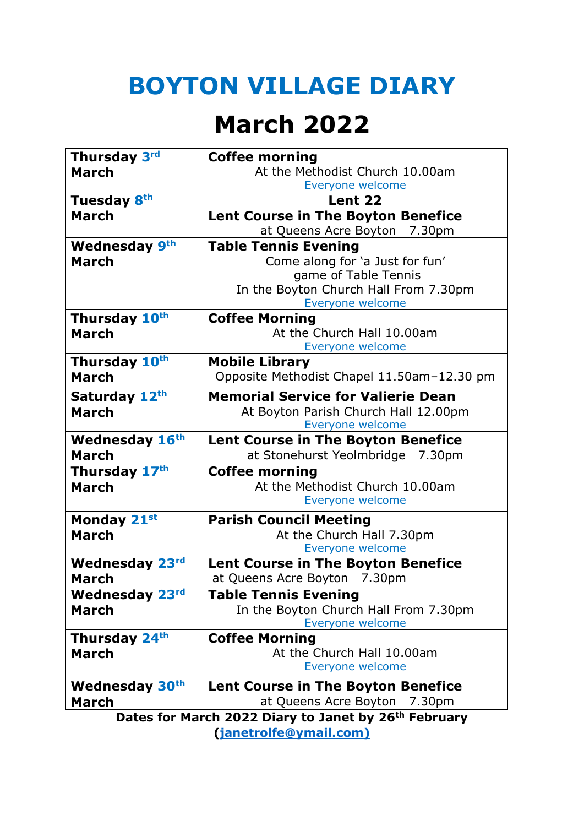# **BOYTON VILLAGE DIARY**

# **March 2022**

| Thursday 3rd                                                     | <b>Coffee morning</b>                                    |
|------------------------------------------------------------------|----------------------------------------------------------|
| <b>March</b>                                                     | At the Methodist Church 10.00am                          |
|                                                                  | Everyone welcome                                         |
| Tuesday 8th                                                      | Lent 22                                                  |
| <b>March</b>                                                     | <b>Lent Course in The Boyton Benefice</b>                |
|                                                                  | at Queens Acre Boyton 7.30pm                             |
| <b>Wednesday 9th</b>                                             | <b>Table Tennis Evening</b>                              |
| <b>March</b>                                                     | Come along for 'a Just for fun'                          |
|                                                                  | game of Table Tennis                                     |
|                                                                  | In the Boyton Church Hall From 7.30pm                    |
|                                                                  | Everyone welcome                                         |
| Thursday 10th<br><b>March</b>                                    | <b>Coffee Morning</b><br>At the Church Hall 10.00am      |
|                                                                  | Everyone welcome                                         |
| Thursday 10th                                                    | <b>Mobile Library</b>                                    |
| <b>March</b>                                                     | Opposite Methodist Chapel 11.50am-12.30 pm               |
|                                                                  |                                                          |
| Saturday 12th                                                    | <b>Memorial Service for Valierie Dean</b>                |
| <b>March</b>                                                     | At Boyton Parish Church Hall 12.00pm<br>Everyone welcome |
| <b>Wednesday 16th</b>                                            | <b>Lent Course in The Boyton Benefice</b>                |
| <b>March</b>                                                     | at Stonehurst Yeolmbridge 7.30pm                         |
| Thursday 17th                                                    | <b>Coffee morning</b>                                    |
| <b>March</b>                                                     | At the Methodist Church 10.00am                          |
|                                                                  | Everyone welcome                                         |
|                                                                  |                                                          |
| Monday 21st                                                      | <b>Parish Council Meeting</b>                            |
| <b>March</b>                                                     | At the Church Hall 7.30pm<br>Everyone welcome            |
| <b>Wednesday 23rd</b>                                            | <b>Lent Course in The Boyton Benefice</b>                |
| <b>March</b>                                                     | at Queens Acre Boyton 7.30pm                             |
| <b>Wednesday 23rd</b>                                            | <b>Table Tennis Evening</b>                              |
| <b>March</b>                                                     | In the Boyton Church Hall From 7.30pm                    |
|                                                                  | Everyone welcome                                         |
| Thursday 24th                                                    | <b>Coffee Morning</b>                                    |
| <b>March</b>                                                     | At the Church Hall 10.00am                               |
|                                                                  | Everyone welcome                                         |
| <b>Wednesday 30th</b>                                            | Lent Course in The Boyton Benefice                       |
| <b>March</b>                                                     | at Queens Acre Boyton<br>7.30pm                          |
| Dates for March 2022 Diary to Janet by 26 <sup>th</sup> February |                                                          |

**[\(janetrolfe@ymail.com\)](mailto:janetrolfe@ymail.com)**